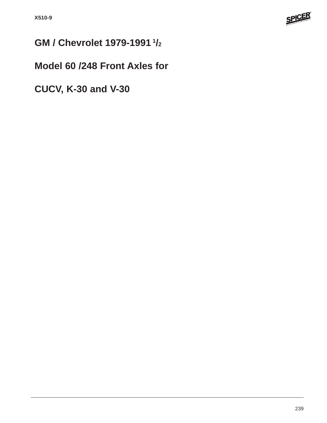

# **GM / Chevrolet 1979-1991 1/2**

## **Model 60 /248 Front Axles for**

**CUCV, K-30 and V-30**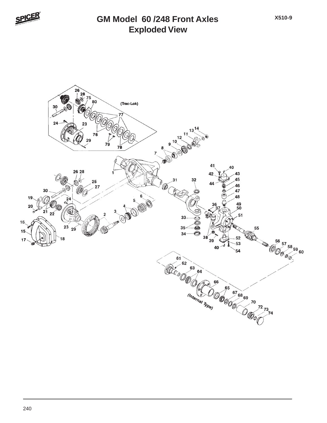

#### **Exploded View GM Model 60 /248 Front Axles**

**X510-9**

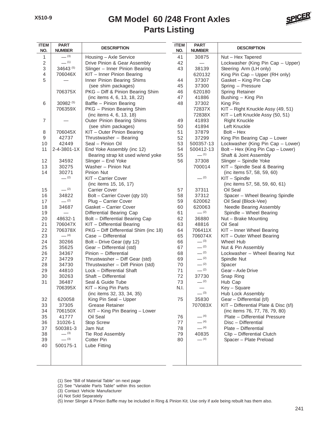#### **Parts Listing GM Model 60 /248 Front Axles**



| <b>ITEM</b><br>NO.        | <b>PART</b><br><b>NUMBER</b> | <b>DESCRIPTION</b>                    |      | <b>PART</b><br><b>NUMBER</b> | <b>DESCRIPTION</b>                      |
|---------------------------|------------------------------|---------------------------------------|------|------------------------------|-----------------------------------------|
| 1                         | $- (3)$                      | Housing - Axle Service                | 41   | 30875                        | Nut - Hex Tapered                       |
| $\sqrt{2}$                | $- (1)$                      | Drive Pinion & Gear Assembly          | 42   |                              | Lockwasher (King Pin Cap - Upper)       |
| $\ensuremath{\mathsf{3}}$ | 34643 (5)                    | Slinger - Inner Pinion Bearing        | 43   | 38139                        | Steering Arm (LH only)                  |
| $\overline{4}$            | 706046X                      | KIT - Inner Pinion Bearing            |      | 620132                       | King Pin Cap - Upper (RH only)          |
| 5                         |                              | Inner Pinion Bearing Shims            | 44   | 37307                        | Gasket - King Pin Cap                   |
|                           |                              | (see shim packages)                   | 45   | 37300                        | Spring - Pressure                       |
|                           | 706375X                      | PKG - Diff & Pinion Bearing Shim      | 46   | 620180                       | Spring Retainer                         |
|                           |                              | (inc items 4, 6, 13, 18, 22)          | 47   | 41886                        | Bushing - King Pin                      |
| 6                         | 30982 (5)                    | Baffle - Pinion Bearing               | 48   | 37302                        | King Pin                                |
|                           | 706359X                      | PKG - Pinion Bearing Shim             |      | 72837X                       | KIT - Right Knuckle Assy (49, 51)       |
|                           |                              | (inc items 4, 6, 13, 18)              |      | 72838X                       | KIT - Left Knuckle Assy (50, 51)        |
| $\overline{7}$            |                              | Outer Pinion Bearing Shims            | 49   | 41893                        | <b>Right Knuckle</b>                    |
|                           |                              | (see shim packages)                   | 50   | 41894                        | Left Knuckle                            |
| 8                         | 706045X                      | KIT - Outer Pinion Bearing            | 51   | 37879                        | $Bolt - Hex$                            |
| 9                         | 42737                        | Thrustwasher - Bearing                | 52   | 37299                        | King Pin Bearing Cap - Lower            |
| 10                        | 42449                        | Seal - Pinion Oil                     | 53   | 500357-13                    | Lockwasher (King Pin Cap - Lower)       |
| 11                        | 2-4-3801-1X                  | End Yoke Assembly (inc 12)            | 54   | 500412-13                    | Bolt - Hex (King Pin Cap - Lower)       |
|                           |                              | Bearing strap kit used w/end yoke     | 55   | $-$ (1)                      | Shaft & Joint Assembly                  |
| 12                        | 34592                        | Slinger - End Yoke                    | 56   | 37308                        | Slinger - Spindle Yoke                  |
| 13                        | 30275                        | Washer - Pinion Nut                   |      | 700014                       | KIT - Spindle Seal & Bearing            |
| 14                        | 30271                        | Pinion Nut                            |      |                              | (inc items 57, 58, 59, 60)              |
|                           | $- (2)$                      | KIT - Carrier Cover                   |      | $-$ (2)                      | KIT - Spindle                           |
|                           |                              | (inc items 15, 16, 17)                |      |                              | (inc items 57, 58, 59, 60, 61)          |
| 15                        | $- (2)$                      | <b>Carrier Cover</b>                  | 57   | 37311                        | Oil Seal                                |
| 16                        | 34822                        | Bolt - Carrier Cover (qty 10)         | 58   | 37312                        | Spacer - Wheel Bearing Spindle          |
| 17                        | $-$ (2)                      | Plug - Carrier Cover                  | 59   | 620062                       | Oil Seal (Block-Vee)                    |
| 18                        | 34687                        | Gasket - Carrier Cover                | 60   | 620063                       | Needle Bearing Assembly                 |
| 19                        |                              | Differential Bearing Cap              | 61   | $-$ (2)                      | Spindle - Wheel Bearing                 |
| 20                        | 48632-1                      | Bolt - Differential Bearing Cap       | 62   | 36880                        | Nut - Brake Mounting                    |
| 21                        | 706047X                      | KIT - Differential Bearing            | 63   | 48816                        | Oil Seal                                |
| 22                        | 706378X                      | PKG - Diff Differential Shim (inc 18) | 64   | 706411X                      | KIT - Inner Wheel Bearing               |
| 23                        | $- (4)$                      | Case - Differential                   | 65   | 706074X                      | KIT - Outer Wheel Bearing               |
| 24                        | 30266                        | Bolt - Drive Gear (qty 12)            | 66   | $- (3)$                      | Wheel Hub                               |
| 25                        | 35625                        | Gear - Differential (std)             | 67   | $- (2)$                      | Nut & Pin Assembly                      |
| 26                        | 34367                        | Pinion - Differential                 | 68   | $-$ (2)                      | Lockwasher - Wheel Bearing Nut          |
| 27                        | 34729                        | Thrustwasher - Diff Gear (std)        | 69   | $- (2)$                      | Spindle Nut                             |
| 28                        | 34730                        | Thrustwasher - Diff Pinion (std)      | 70   | $- (2)$                      | Spacer                                  |
| 29                        | 44810                        | Lock - Differential Shaft             | 71   | $- (2)$                      | Gear-Axle Drive                         |
| 30                        | 30263                        | Shaft - Differential                  | 72   | 37730                        | Snap Ring                               |
| 31                        | 36487                        | Seal & Guide Tube                     | 73   | $-$ (2)                      | Hub Cap                                 |
|                           | 706395X                      | KIT - King Pin Parts                  | N.I. |                              | Key - Square                            |
|                           |                              | (inc items 32, 33, 34, 35)            |      | $- (3)$                      | Hub Lock Assembly                       |
| 32                        | 620058                       | King Pin Seal - Upper                 | 75   | 35830                        | Gear - Differential (t/l)               |
| 33                        | 37305                        | Grease Retainer                       |      | 707083X                      | $KIT$ – Differential Plate & Disc (t/l) |
| 34                        | 706150X                      | KIT - King Pin Bearing - Lower        |      |                              | (inc items 76, 77, 78, 79, 80)          |
| 35                        | 41777                        | Oil Seal                              | 76   | $- (4)$                      | Plate - Differential Pressure           |
| 36                        | 31026-1                      | Stop Screw                            | 77   | $- (4)$                      | Disc - Differential                     |
| 37                        | 500381-3                     | Jam Nut                               | 78   | $- (4)$                      | Plate - Differential                    |
| 38                        | $- (3)$                      | Tie Rod Assembly                      | 79   | 40835                        | Clip - Differential Clutch              |
| 39                        | $- (3)$                      | Cotter Pin                            | 80   | $-$ (4)                      | Spacer - Plate Preload                  |
| 40                        | 500175-1                     | Lube Fitting                          |      |                              |                                         |
|                           |                              |                                       |      |                              |                                         |
|                           |                              |                                       |      |                              |                                         |
|                           |                              |                                       |      |                              |                                         |

(1) See "Bill of Material Table" on next page

(2) See "Variable Parts Table" within this section

(3) Contact Vehicle Manufacturer

(4) Not Sold Separately

(5) Inner Slinger & Pinion Baffle may be included in Ring & Pinion Kit. Use only if axle being rebuilt has them also.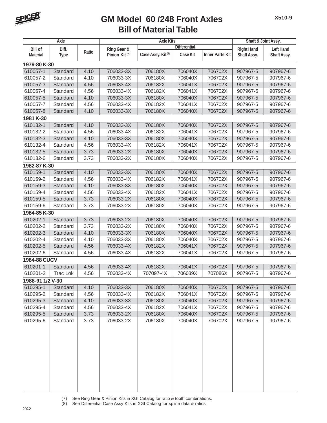

#### **Bill of Material Table GM Model 60 /248 Front Axles**

| Axle                              |                      |       | <b>Axle Kits</b>                         |                               |                 |                        | Shaft & Joint Assy.              |                                 |
|-----------------------------------|----------------------|-------|------------------------------------------|-------------------------------|-----------------|------------------------|----------------------------------|---------------------------------|
|                                   |                      |       | <b>Differential</b>                      |                               |                 |                        |                                  |                                 |
| <b>Bill of</b><br><b>Material</b> | Diff.<br><b>Type</b> | Ratio | Ring Gear &<br>Pinion Kit <sup>(7)</sup> | Case Assy. Kit <sup>(8)</sup> | <b>Case Kit</b> | <b>Inner Parts Kit</b> | <b>Right Hand</b><br>Shaft Assy. | <b>Left Hand</b><br>Shaft Assy. |
| 1979-80 K-30                      |                      |       |                                          |                               |                 |                        |                                  |                                 |
| 610057-1                          | Standard             | 4.10  | 706033-3X                                | 706180X                       | 706040X         | 706702X                | 907967-5                         | 907967-6                        |
| 610057-2                          | Standard             | 4.10  | 706033-3X                                | 706180X                       | 706040X         | 706702X                | 907967-5                         | 907967-6                        |
| 610057-3                          | Standard             | 4.56  | 706033-4X                                | 706182X                       | 706041X         | 706702X                | 907967-5                         | 907967-6                        |
| 610057-4                          | Standard             | 4.56  | 706033-4X                                | 706182X                       | 706041X         | 706702X                | 907967-5                         | 907967-6                        |
| 610057-5                          | Standard             | 4.10  | 706033-3X                                | 706180X                       | 706040X         | 706702X                | 907967-5                         | 907967-6                        |
| 610057-7                          | Standard             | 4.56  | 706033-4X                                | 706182X                       | 706041X         | 706702X                | 907967-5                         | 907967-6                        |
| 610057-8                          | Standard             | 4.10  | 706033-3X                                | 706180X                       | 706040X         | 706702X                | 907967-5                         | 907967-6                        |
| 1981 K-30                         |                      |       |                                          |                               |                 |                        |                                  |                                 |
| 610132-1                          | Standard             | 4.10  | 706033-3X                                | 706180X                       | 706040X         | 706702X                | 907967-5                         | 907967-6                        |
| 610132-2                          | Standard             | 4.56  | 706033-4X                                | 706182X                       | 706041X         | 706702X                | 907967-5                         | 907967-6                        |
| 610132-3                          | Standard             | 4.10  | 706033-3X                                | 706180X                       | 706040X         | 706702X                | 907967-5                         | 907967-6                        |
| 610132-4                          | Standard             | 4.56  | 706033-4X                                | 706182X                       | 706041X         | 706702X                | 907967-5                         | 907967-6                        |
| 610132-5                          | Standard             | 3.73  | 706033-2X                                | 706180X                       | 706040X         | 706702X                | 907967-5                         | 907967-6                        |
| 610132-6                          | Standard             | 3.73  | 706033-2X                                | 706180X                       | 706040X         | 706702X                | 907967-5                         | 907967-6                        |
| 1982-87 K-30                      |                      |       |                                          |                               |                 |                        |                                  |                                 |
| 610159-1                          | Standard             | 4.10  | 706033-3X                                | 706180X                       | 706040X         | 706702X                | 907967-5                         | 907967-6                        |
| 610159-2                          | Standard             | 4.56  | 706033-4X                                | 706182X                       | 706041X         | 706702X                | 907967-5                         | 907967-6                        |
| 610159-3                          | Standard             | 4.10  | 706033-3X                                | 706180X                       | 706040X         | 706702X                | 907967-5                         | 907967-6                        |
| 610159-4                          | Standard             | 4.56  | 706033-4X                                | 706182X                       | 706041X         | 706702X                | 907967-5                         | 907967-6                        |
| 610159-5                          | Standard             | 3.73  | 706033-2X                                | 706180X                       | 706040X         | 706702X                | 907967-5                         | 907967-6                        |
| 610159-6                          | Standard             | 3.73  | 706033-2X                                | 706180X                       | 706040X         | 706702X                | 907967-5                         | 907967-6                        |
| 1984-85 K-30                      |                      |       |                                          |                               |                 |                        |                                  |                                 |
| 610202-1                          | Standard             | 3.73  | 706033-2X                                | 706180X                       | 706040X         | 706702X                | 907967-5                         | 907967-6                        |
| 610202-2                          | Standard             | 3.73  | 706033-2X                                | 706180X                       | 706040X         | 706702X                | 907967-5                         | 907967-6                        |
| 610202-3                          | Standard             | 4.10  | 706033-3X                                | 706180X                       | 706040X         | 706702X                | 907967-5                         | 907967-6                        |
| 610202-4                          | Standard             | 4.10  | 706033-3X                                | 706180X                       | 706040X         | 706702X                | 907967-5                         | 907967-6                        |
| 610202-5                          | Standard             | 4.56  | 706033-4X                                | 706182X                       | 706041X         | 706702X                | 907967-5                         | 907967-6                        |
| 610202-6                          | Standard             | 4.56  | 706033-4X                                | 706182X                       | 706041X         | 706702X                | 907967-5                         | 907967-6                        |
| 1984-88 CUCV                      |                      |       |                                          |                               |                 |                        |                                  |                                 |
| 610201-1                          | Standard             | 4.56  | 706033-4X                                | 706182X                       | 706041X         | 706702X                | 907967-5                         | 907967-6                        |
| 610201-2                          | Trac Lok             | 4.56  | 706033-4X                                | 707097-4X                     | 706039X         | 707086X                | 907967-5                         | 907967-6                        |
| 1988-91 1/2 V-30                  |                      |       |                                          |                               |                 |                        |                                  |                                 |
| 610295-1                          | Standard             | 4.10  | 706033-3X                                | 706180X                       | 706040X         | 706702X                | 907967-5                         | 907967-6                        |
| 610295-2                          | Standard             | 4.56  | 706033-4X                                | 706182X                       | 706041X         | 706702X                | 907967-5                         | 907967-6                        |
| 610295-3                          | Standard             | 4.10  | 706033-3X                                | 706180X                       | 706040X         | 706702X                | 907967-5                         | 907967-6                        |
| 610295-4                          | Standard             | 4.56  | 706033-4X                                | 706182X                       | 706041X         | 706702X                | 907967-5                         | 907967-6                        |
| 610295-5                          | Standard             | 3.73  | 706033-2X                                | 706180X                       | 706040X         | 706702X                | 907967-5                         | 907967-6                        |
| 610295-6                          | Standard             | 3.73  | 706033-2X                                | 706180X                       | 706040X         | 706702X                | 907967-5                         | 907967-6                        |
|                                   |                      |       |                                          |                               |                 |                        |                                  |                                 |

(7) See Ring Gear & Pinion Kits in XGI Catalog for ratio & tooth combinations.

(8) See Differential Case Assy Kits in XGI Catalog for spline data & ratios.